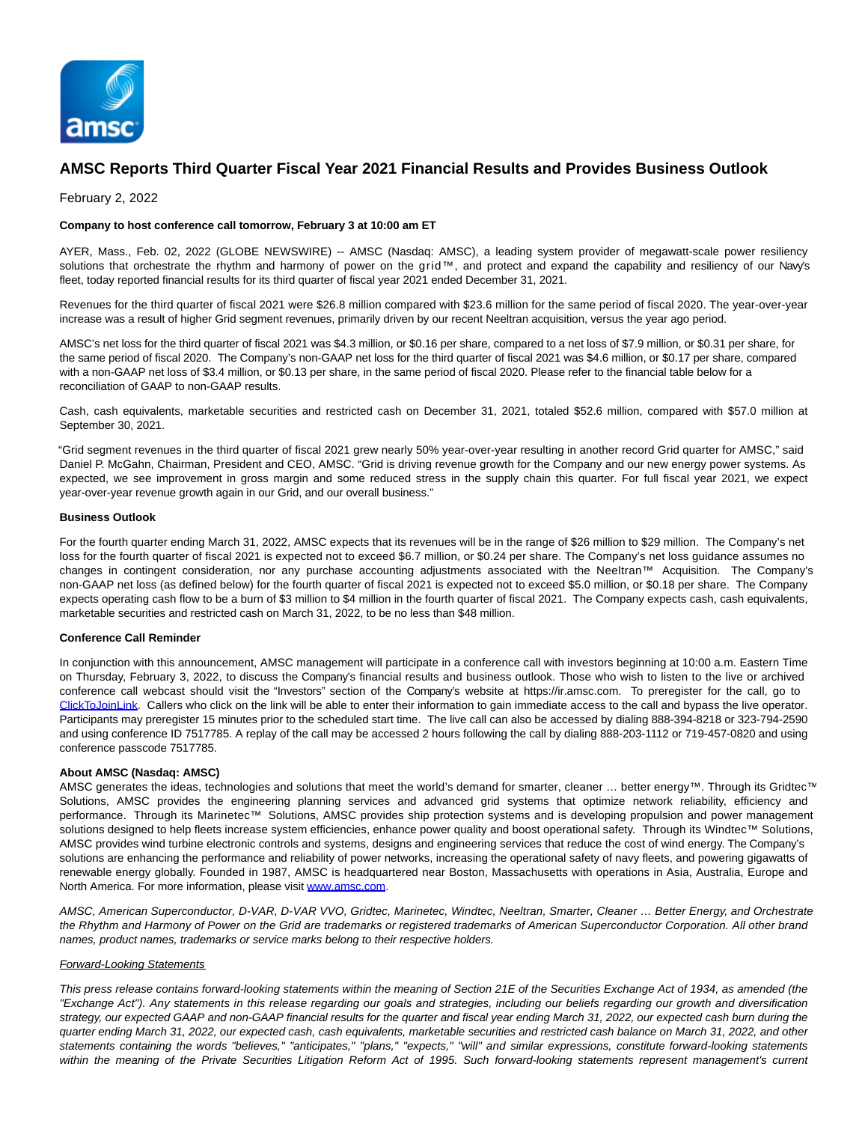

# **AMSC Reports Third Quarter Fiscal Year 2021 Financial Results and Provides Business Outlook**

February 2, 2022

### **Company to host conference call tomorrow, February 3 at 10:00 am ET**

AYER, Mass., Feb. 02, 2022 (GLOBE NEWSWIRE) -- AMSC (Nasdaq: AMSC), a leading system provider of megawatt-scale power resiliency solutions that orchestrate the rhythm and harmony of power on the grid™, and protect and expand the capability and resiliency of our Navy's fleet, today reported financial results for its third quarter of fiscal year 2021 ended December 31, 2021.

Revenues for the third quarter of fiscal 2021 were \$26.8 million compared with \$23.6 million for the same period of fiscal 2020. The year-over-year increase was a result of higher Grid segment revenues, primarily driven by our recent Neeltran acquisition, versus the year ago period.

AMSC's net loss for the third quarter of fiscal 2021 was \$4.3 million, or \$0.16 per share, compared to a net loss of \$7.9 million, or \$0.31 per share, for the same period of fiscal 2020. The Company's non-GAAP net loss for the third quarter of fiscal 2021 was \$4.6 million, or \$0.17 per share, compared with a non-GAAP net loss of \$3.4 million, or \$0.13 per share, in the same period of fiscal 2020. Please refer to the financial table below for a reconciliation of GAAP to non-GAAP results.

Cash, cash equivalents, marketable securities and restricted cash on December 31, 2021, totaled \$52.6 million, compared with \$57.0 million at September 30, 2021.

"Grid segment revenues in the third quarter of fiscal 2021 grew nearly 50% year-over-year resulting in another record Grid quarter for AMSC," said Daniel P. McGahn, Chairman, President and CEO, AMSC. "Grid is driving revenue growth for the Company and our new energy power systems. As expected, we see improvement in gross margin and some reduced stress in the supply chain this quarter. For full fiscal year 2021, we expect year-over-year revenue growth again in our Grid, and our overall business."

# **Business Outlook**

For the fourth quarter ending March 31, 2022, AMSC expects that its revenues will be in the range of \$26 million to \$29 million. The Company's net loss for the fourth quarter of fiscal 2021 is expected not to exceed \$6.7 million, or \$0.24 per share. The Company's net loss guidance assumes no changes in contingent consideration, nor any purchase accounting adjustments associated with the Neeltran™ Acquisition. The Company's non-GAAP net loss (as defined below) for the fourth quarter of fiscal 2021 is expected not to exceed \$5.0 million, or \$0.18 per share. The Company expects operating cash flow to be a burn of \$3 million to \$4 million in the fourth quarter of fiscal 2021. The Company expects cash, cash equivalents, marketable securities and restricted cash on March 31, 2022, to be no less than \$48 million.

# **Conference Call Reminder**

In conjunction with this announcement, AMSC management will participate in a conference call with investors beginning at 10:00 a.m. Eastern Time on Thursday, February 3, 2022, to discuss the Company's financial results and business outlook. Those who wish to listen to the live or archived conference call webcast should visit the "Investors" section of the Company's website at https://ir.amsc.com. To preregister for the call, go to [ClickToJoinLink.](https://www.globenewswire.com/Tracker?data=stJLxz3Mrx29RR975hNh9pUAY_cKOv1exQ5Ql6QKFwyd6oOrhFRRZJn-Y-0HdnUXpCQAM_-BgI8J2imtIWqf0aEz2M7BNQrdi7ZfIGQS9W36I37T7c-vDEKjpmREUb8SgwgKtEpcbK2ibaK3yixfnSaUpYSeP1nyoVDxdnWeKJyNBeypynIiMqMNJpd4dnVDKj_bIVviJHVI7TNjtvsTgY0HzPbNSXH6oRRgDsRilcY=) Callers who click on the link will be able to enter their information to gain immediate access to the call and bypass the live operator. Participants may preregister 15 minutes prior to the scheduled start time. The live call can also be accessed by dialing 888-394-8218 or 323-794-2590 and using conference ID 7517785. A replay of the call may be accessed 2 hours following the call by dialing 888-203-1112 or 719-457-0820 and using conference passcode 7517785.

# **About AMSC (Nasdaq: AMSC)**

AMSC generates the ideas, technologies and solutions that meet the world's demand for smarter, cleaner ... better energy™. Through its Gridtec™ Solutions, AMSC provides the engineering planning services and advanced grid systems that optimize network reliability, efficiency and performance. Through its Marinetec™ Solutions, AMSC provides ship protection systems and is developing propulsion and power management solutions designed to help fleets increase system efficiencies, enhance power quality and boost operational safety. Through its Windtec™ Solutions, AMSC provides wind turbine electronic controls and systems, designs and engineering services that reduce the cost of wind energy. The Company's solutions are enhancing the performance and reliability of power networks, increasing the operational safety of navy fleets, and powering gigawatts of renewable energy globally. Founded in 1987, AMSC is headquartered near Boston, Massachusetts with operations in Asia, Australia, Europe and North America. For more information, please visi[t www.amsc.com.](https://www.globenewswire.com/Tracker?data=Hatw84sVoTz1je9GyDPVT6a90QbvH__hN0PRqEFpWKnLUIWPac1VowErDALvxs5iPMiwOEbsjvQRFPBc0wHxrw==)

AMSC, American Superconductor, D-VAR, D-VAR VVO, Gridtec, Marinetec, Windtec, Neeltran, Smarter, Cleaner … Better Energy, and Orchestrate the Rhythm and Harmony of Power on the Grid are trademarks or registered trademarks of American Superconductor Corporation. All other brand names, product names, trademarks or service marks belong to their respective holders.

### Forward-Looking Statements

This press release contains forward-looking statements within the meaning of Section 21E of the Securities Exchange Act of 1934, as amended (the "Exchange Act"). Any statements in this release regarding our goals and strategies, including our beliefs regarding our growth and diversification strategy, our expected GAAP and non-GAAP financial results for the quarter and fiscal year ending March 31, 2022, our expected cash burn during the quarter ending March 31, 2022, our expected cash, cash equivalents, marketable securities and restricted cash balance on March 31, 2022, and other statements containing the words "believes," "anticipates," "plans," "expects," "will" and similar expressions, constitute forward-looking statements within the meaning of the Private Securities Litigation Reform Act of 1995. Such forward-looking statements represent management's current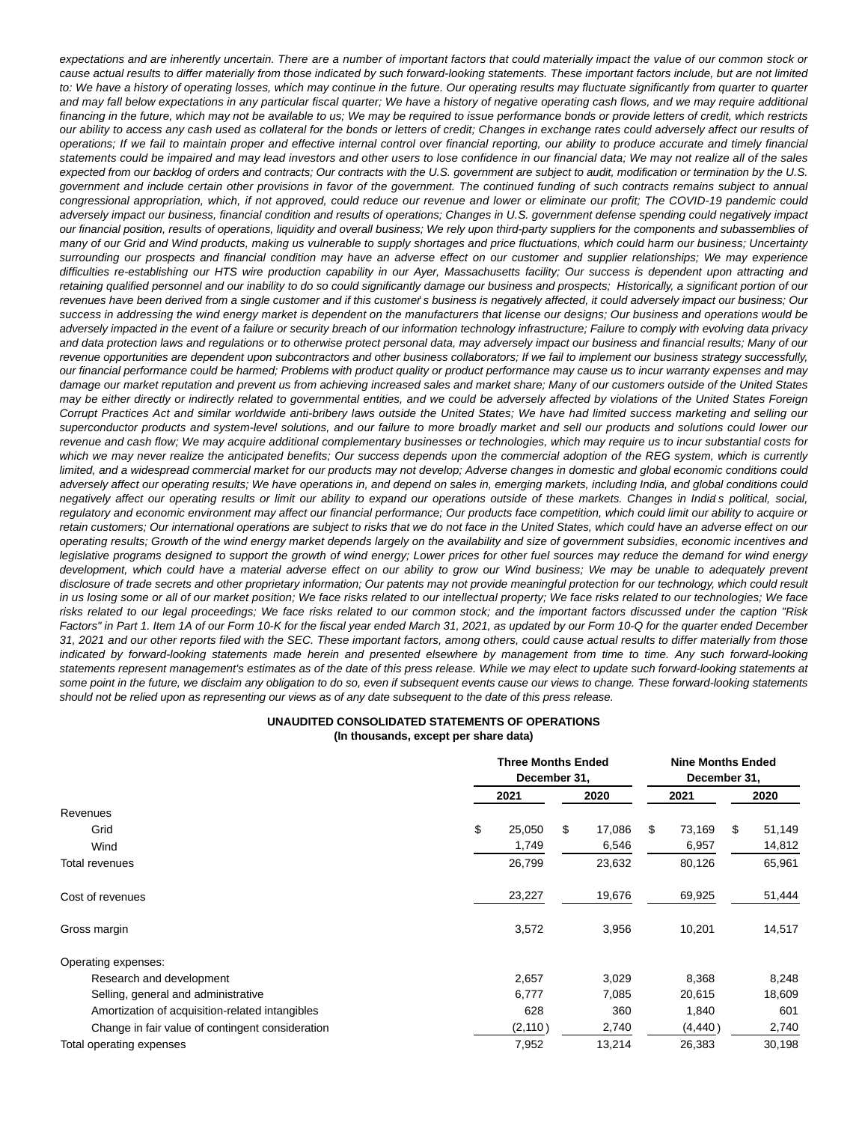expectations and are inherently uncertain. There are a number of important factors that could materially impact the value of our common stock or cause actual results to differ materially from those indicated by such forward-looking statements. These important factors include, but are not limited to: We have a history of operating losses, which may continue in the future. Our operating results may fluctuate significantly from quarter to quarter and may fall below expectations in any particular fiscal quarter; We have a history of negative operating cash flows, and we may require additional financing in the future, which may not be available to us; We may be required to issue performance bonds or provide letters of credit, which restricts our ability to access any cash used as collateral for the bonds or letters of credit; Changes in exchange rates could adversely affect our results of operations; If we fail to maintain proper and effective internal control over financial reporting, our ability to produce accurate and timely financial statements could be impaired and may lead investors and other users to lose confidence in our financial data; We may not realize all of the sales expected from our backlog of orders and contracts; Our contracts with the U.S. government are subject to audit, modification or termination by the U.S. government and include certain other provisions in favor of the government. The continued funding of such contracts remains subject to annual congressional appropriation, which, if not approved, could reduce our revenue and lower or eliminate our profit; The COVID-19 pandemic could adversely impact our business, financial condition and results of operations; Changes in U.S. government defense spending could negatively impact our financial position, results of operations, liquidity and overall business; We rely upon third-party suppliers for the components and subassemblies of many of our Grid and Wind products, making us vulnerable to supply shortages and price fluctuations, which could harm our business; Uncertainty surrounding our prospects and financial condition may have an adverse effect on our customer and supplier relationships; We may experience difficulties re-establishing our HTS wire production capability in our Ayer, Massachusetts facility; Our success is dependent upon attracting and retaining qualified personnel and our inability to do so could significantly damage our business and prospects; Historically, a significant portion of our revenues have been derived from a single customer and if this customer's business is negatively affected, it could adversely impact our business; Our success in addressing the wind energy market is dependent on the manufacturers that license our designs; Our business and operations would be adversely impacted in the event of a failure or security breach of our information technology infrastructure; Failure to comply with evolving data privacy and data protection laws and regulations or to otherwise protect personal data, may adversely impact our business and financial results; Many of our revenue opportunities are dependent upon subcontractors and other business collaborators; If we fail to implement our business strategy successfully, our financial performance could be harmed; Problems with product quality or product performance may cause us to incur warranty expenses and may damage our market reputation and prevent us from achieving increased sales and market share; Many of our customers outside of the United States may be either directly or indirectly related to governmental entities, and we could be adversely affected by violations of the United States Foreign Corrupt Practices Act and similar worldwide anti-bribery laws outside the United States; We have had limited success marketing and selling our superconductor products and system-level solutions, and our failure to more broadly market and sell our products and solutions could lower our revenue and cash flow; We may acquire additional complementary businesses or technologies, which may require us to incur substantial costs for which we may never realize the anticipated benefits; Our success depends upon the commercial adoption of the REG system, which is currently limited, and a widespread commercial market for our products may not develop; Adverse changes in domestic and global economic conditions could adversely affect our operating results; We have operations in, and depend on sales in, emerging markets, including India, and global conditions could negatively affect our operating results or limit our ability to expand our operations outside of these markets. Changes in India's political, social, regulatory and economic environment may affect our financial performance; Our products face competition, which could limit our ability to acquire or retain customers; Our international operations are subject to risks that we do not face in the United States, which could have an adverse effect on our operating results; Growth of the wind energy market depends largely on the availability and size of government subsidies, economic incentives and legislative programs designed to support the growth of wind energy; Lower prices for other fuel sources may reduce the demand for wind energy development, which could have a material adverse effect on our ability to grow our Wind business; We may be unable to adequately prevent disclosure of trade secrets and other proprietary information; Our patents may not provide meaningful protection for our technology, which could result in us losing some or all of our market position; We face risks related to our intellectual property; We face risks related to our technologies; We face risks related to our legal proceedings; We face risks related to our common stock; and the important factors discussed under the caption "Risk Factors" in Part 1. Item 1A of our Form 10-K for the fiscal year ended March 31, 2021, as updated by our Form 10-Q for the quarter ended December 31, 2021 and our other reports filed with the SEC. These important factors, among others, could cause actual results to differ materially from those indicated by forward-looking statements made herein and presented elsewhere by management from time to time. Any such forward-looking statements represent management's estimates as of the date of this press release. While we may elect to update such forward-looking statements at some point in the future, we disclaim any obligation to do so, even if subsequent events cause our views to change. These forward-looking statements should not be relied upon as representing our views as of any date subsequent to the date of this press release.

#### **UNAUDITED CONSOLIDATED STATEMENTS OF OPERATIONS (In thousands, except per share data)**

|                                                  |      | <b>Three Months Ended</b><br>December 31, |   |        | <b>Nine Months Ended</b><br>December 31, |          |    |        |  |
|--------------------------------------------------|------|-------------------------------------------|---|--------|------------------------------------------|----------|----|--------|--|
|                                                  | 2021 |                                           |   | 2020   |                                          | 2021     |    | 2020   |  |
| Revenues                                         |      |                                           |   |        |                                          |          |    |        |  |
| Grid                                             | \$   | 25,050                                    | S | 17,086 | \$                                       | 73,169   | \$ | 51,149 |  |
| Wind                                             |      | 1,749                                     |   | 6,546  |                                          | 6,957    |    | 14,812 |  |
| Total revenues                                   |      | 26,799                                    |   | 23,632 |                                          | 80,126   |    | 65,961 |  |
| Cost of revenues                                 |      | 23,227                                    |   | 19,676 |                                          | 69,925   |    | 51,444 |  |
| Gross margin                                     |      | 3,572                                     |   | 3,956  |                                          | 10,201   |    | 14,517 |  |
| Operating expenses:                              |      |                                           |   |        |                                          |          |    |        |  |
| Research and development                         |      | 2,657                                     |   | 3,029  |                                          | 8,368    |    | 8,248  |  |
| Selling, general and administrative              |      | 6,777                                     |   | 7,085  |                                          | 20,615   |    | 18,609 |  |
| Amortization of acquisition-related intangibles  |      | 628                                       |   | 360    |                                          | 1,840    |    | 601    |  |
| Change in fair value of contingent consideration |      | (2, 110)                                  |   | 2,740  |                                          | (4, 440) |    | 2,740  |  |
| Total operating expenses                         |      | 7,952                                     |   | 13,214 |                                          | 26,383   |    | 30,198 |  |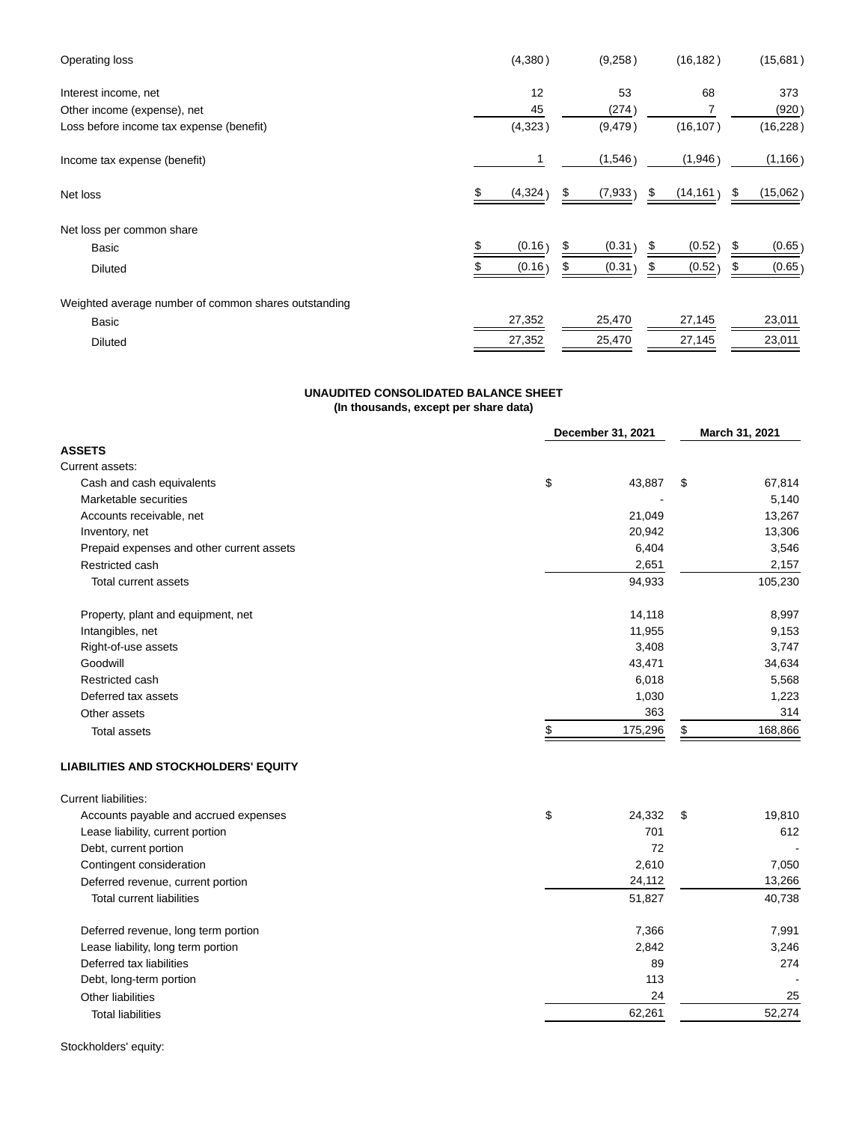| (4,380)  | (9,258)  | (16, 182)       | (15,681)       |
|----------|----------|-----------------|----------------|
| 12       | 53       | 68              | 373            |
| 45       | (274)    |                 | (920)          |
| (4,323)  | (9, 479) | (16, 107)       | (16, 228)      |
|          | (1,546)  | (1,946)         | (1, 166)       |
| (4, 324) | (7, 933) | (14, 161)<br>\$ | (15,062)<br>\$ |
|          |          |                 |                |
| (0.16)   | (0.31)   | (0.52)<br>S     | (0.65)         |
| (0.16)   | (0.31)   | (0.52)<br>\$    | (0.65)         |
|          |          |                 |                |
| 27,352   | 25,470   | 27,145          | 23,011         |
| 27,352   | 25,470   | 27,145          | 23,011         |
|          |          |                 |                |

# **UNAUDITED CONSOLIDATED BALANCE SHEET**

**(In thousands, except per share data)**

|                                             | December 31, 2021 | March 31, 2021 |  |  |
|---------------------------------------------|-------------------|----------------|--|--|
| <b>ASSETS</b>                               |                   |                |  |  |
| Current assets:                             |                   |                |  |  |
| Cash and cash equivalents                   | \$<br>43,887      | 67,814<br>\$   |  |  |
| Marketable securities                       |                   | 5,140          |  |  |
| Accounts receivable, net                    | 21,049            | 13,267         |  |  |
| Inventory, net                              | 20,942            | 13,306         |  |  |
| Prepaid expenses and other current assets   | 6,404             | 3,546          |  |  |
| Restricted cash                             | 2,651             | 2,157          |  |  |
| Total current assets                        | 94,933            | 105,230        |  |  |
| Property, plant and equipment, net          | 14,118            | 8,997          |  |  |
| Intangibles, net                            | 11,955            | 9,153          |  |  |
| Right-of-use assets                         | 3,408             | 3,747          |  |  |
| Goodwill                                    | 43,471            | 34,634         |  |  |
| Restricted cash                             | 6,018             | 5,568          |  |  |
| Deferred tax assets                         | 1,030             | 1,223          |  |  |
| Other assets                                | 363               | 314            |  |  |
| <b>Total assets</b>                         | \$<br>175,296     | 168,866<br>\$  |  |  |
| <b>LIABILITIES AND STOCKHOLDERS' EQUITY</b> |                   |                |  |  |
| Current liabilities:                        |                   |                |  |  |
| Accounts payable and accrued expenses       | \$<br>24,332      | \$<br>19,810   |  |  |
| Lease liability, current portion            | 701               | 612            |  |  |
| Debt, current portion                       | 72                |                |  |  |
| Contingent consideration                    | 2,610             | 7,050          |  |  |
| Deferred revenue, current portion           | 24,112            | 13,266         |  |  |
| <b>Total current liabilities</b>            | 51,827            | 40,738         |  |  |
| Deferred revenue, long term portion         | 7,366             | 7,991          |  |  |
| Lease liability, long term portion          | 2,842             | 3,246          |  |  |
| Deferred tax liabilities                    | 89                | 274            |  |  |
| Debt, long-term portion                     | 113               |                |  |  |
| Other liabilities                           | 24                | 25             |  |  |
| <b>Total liabilities</b>                    | 62,261            | 52,274         |  |  |

Stockholders' equity: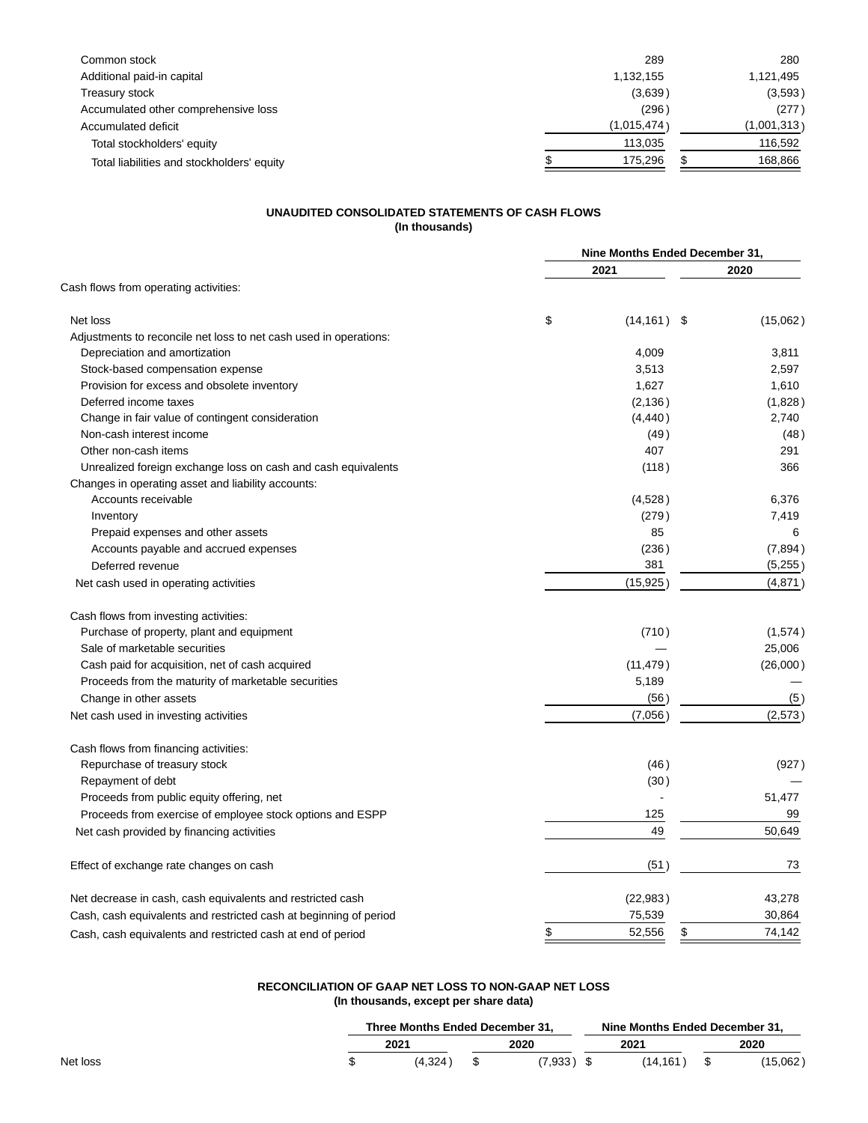| Common stock                               | 289         | 280         |
|--------------------------------------------|-------------|-------------|
| Additional paid-in capital                 | 1,132,155   | 1,121,495   |
| Treasury stock                             | (3,639)     | (3,593)     |
| Accumulated other comprehensive loss       | (296)       | (277)       |
| Accumulated deficit                        | (1,015,474) | (1,001,313) |
| Total stockholders' equity                 | 113.035     | 116,592     |
| Total liabilities and stockholders' equity | 175.296     | 168,866     |

# **UNAUDITED CONSOLIDATED STATEMENTS OF CASH FLOWS (In thousands)**

|                                                                   | Nine Months Ended December 31, |          |  |
|-------------------------------------------------------------------|--------------------------------|----------|--|
|                                                                   | 2021                           | 2020     |  |
| Cash flows from operating activities:                             |                                |          |  |
| Net loss                                                          | \$<br>(14, 161)<br>- \$        | (15,062) |  |
| Adjustments to reconcile net loss to net cash used in operations: |                                |          |  |
| Depreciation and amortization                                     | 4,009                          | 3,811    |  |
| Stock-based compensation expense                                  | 3,513                          | 2,597    |  |
| Provision for excess and obsolete inventory                       | 1,627                          | 1,610    |  |
| Deferred income taxes                                             | (2, 136)                       | (1,828)  |  |
| Change in fair value of contingent consideration                  | (4, 440)                       | 2,740    |  |
| Non-cash interest income                                          | (49)                           | (48)     |  |
| Other non-cash items                                              | 407                            | 291      |  |
| Unrealized foreign exchange loss on cash and cash equivalents     | (118)                          | 366      |  |
| Changes in operating asset and liability accounts:                |                                |          |  |
| Accounts receivable                                               | (4,528)                        | 6,376    |  |
| Inventory                                                         | (279)                          | 7,419    |  |
| Prepaid expenses and other assets                                 | 85                             | 6        |  |
| Accounts payable and accrued expenses                             | (236)                          | (7,894)  |  |
| Deferred revenue                                                  | 381                            | (5,255)  |  |
| Net cash used in operating activities                             | (15,925)                       | (4,871)  |  |
| Cash flows from investing activities:                             |                                |          |  |
| Purchase of property, plant and equipment                         | (710)                          | (1,574)  |  |
| Sale of marketable securities                                     |                                | 25,006   |  |
| Cash paid for acquisition, net of cash acquired                   | (11, 479)                      | (26,000) |  |
| Proceeds from the maturity of marketable securities               | 5,189                          |          |  |
| Change in other assets                                            | (56                            | (5)      |  |
| Net cash used in investing activities                             | (7.056)                        | (2,573)  |  |
| Cash flows from financing activities:                             |                                |          |  |
| Repurchase of treasury stock                                      | (46)                           | (927)    |  |
| Repayment of debt                                                 | (30)                           |          |  |
| Proceeds from public equity offering, net                         |                                | 51,477   |  |
| Proceeds from exercise of employee stock options and ESPP         | 125                            | 99       |  |
| Net cash provided by financing activities                         | 49                             | 50,649   |  |
| Effect of exchange rate changes on cash                           | (51)                           | 73       |  |
| Net decrease in cash, cash equivalents and restricted cash        | (22, 983)                      | 43,278   |  |
| Cash, cash equivalents and restricted cash at beginning of period | 75,539                         | 30,864   |  |
| Cash, cash equivalents and restricted cash at end of period       | \$<br>\$<br>52,556             | 74,142   |  |
|                                                                   |                                |          |  |

# **RECONCILIATION OF GAAP NET LOSS TO NON-GAAP NET LOSS (In thousands, except per share data)**

|          | Three Months Ended December 31. |  |        | Nine Months Ended December 31. |         |  |          |
|----------|---------------------------------|--|--------|--------------------------------|---------|--|----------|
|          | 2021                            |  | 2020   |                                | 2021    |  | 2020     |
| Net loss | (4.324)                         |  | 7.933) |                                | (14.161 |  | (15,062) |